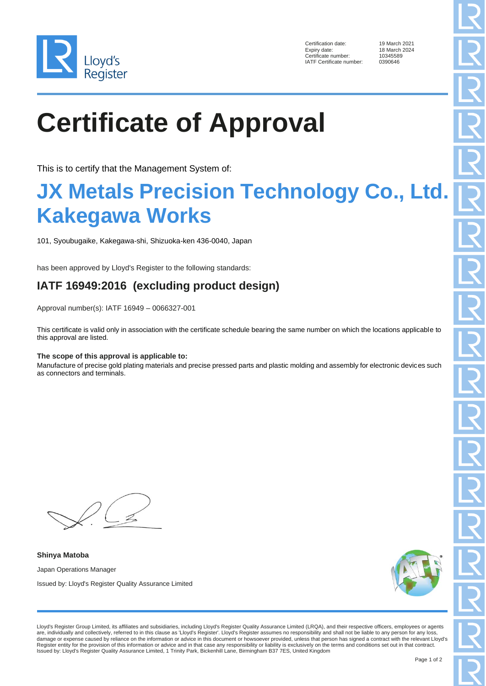

Certification date: 19 March 2021<br>Expiry date: 18 March 2024 Certificate number: IATF Certificate number: 0390646

18 March 2024<br>10345589

# **Certificate of Approval**

This is to certify that the Management System of:

### **JX Metals Precision Technology Co., Ltd. Kakegawa Works**

101, Syoubugaike, Kakegawa-shi, Shizuoka-ken 436-0040, Japan

has been approved by Lloyd's Register to the following standards:

### **IATF 16949:2016 (excluding product design)**

Approval number(s): IATF 16949 – 0066327-001

This certificate is valid only in association with the certificate schedule bearing the same number on which the locations applicable to this approval are listed.

#### **The scope of this approval is applicable to:**

Manufacture of precise gold plating materials and precise pressed parts and plastic molding and assembly for electronic devices such as connectors and terminals.

**Shinya Matoba** Japan Operations Manager

Issued by: Lloyd's Register Quality Assurance Limited



Lloyd's Register Group Limited, its affiliates and subsidiaries, including Lloyd's Register Quality Assurance Limited (LRQA), and their respective officers, employees or agents are, individually and collectively, referred to in this clause as 'Lloyd's Register'. Lloyd's Register assumes no responsibility and shall not be liable to any person for any loss, damage or expense caused by reliance on the information or advice in this document or howsoever provided, unless that person has signed a contract with the relevant Lloyd's Register entity for the provision of this information or advice and in that case any responsibility or liability is exclusively on the terms and conditions set out in that contract. Issued by: Lloyd's Register Quality Assurance Limited, 1 Trinity Park, Bickenhill Lane, Birmingham B37 7ES, United Kingdom